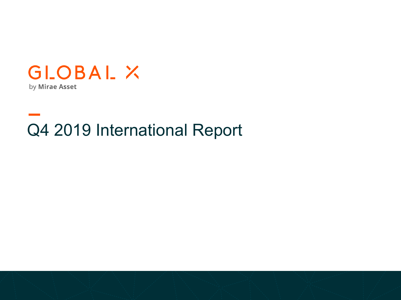

# Q4 2019 International Report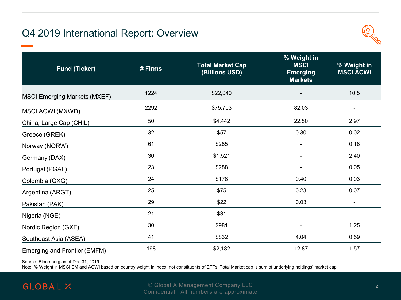# Q4 2019 International Report: Overview



| <b>Fund (Ticker)</b>                | # Firms | <b>Total Market Cap</b><br>(Billions USD) | % Weight in<br><b>MSCI</b><br><b>Emerging</b><br><b>Markets</b> | % Weight in<br><b>MSCI ACWI</b> |
|-------------------------------------|---------|-------------------------------------------|-----------------------------------------------------------------|---------------------------------|
| <b>MSCI Emerging Markets (MXEF)</b> | 1224    | \$22,040                                  |                                                                 | 10.5                            |
| MSCI ACWI (MXWD)                    | 2292    | \$75,703                                  | 82.03                                                           |                                 |
| China, Large Cap (CHIL)             | 50      | \$4,442                                   | 22.50                                                           | 2.97                            |
| Greece (GREK)                       | 32      | \$57                                      | 0.30                                                            | 0.02                            |
| Norway (NORW)                       | 61      | \$285                                     | $\blacksquare$                                                  | 0.18                            |
| Germany (DAX)                       | 30      | \$1,521                                   | ٠                                                               | 2.40                            |
| Portugal (PGAL)                     | 23      | \$288                                     | $\blacksquare$                                                  | 0.05                            |
| Colombia (GXG)                      | 24      | \$178                                     | 0.40                                                            | 0.03                            |
| Argentina (ARGT)                    | 25      | \$75                                      | 0.23                                                            | 0.07                            |
| Pakistan (PAK)                      | 29      | \$22                                      | 0.03                                                            |                                 |
| Nigeria (NGE)                       | 21      | \$31                                      | $\blacksquare$                                                  |                                 |
| Nordic Region (GXF)                 | 30      | \$981                                     | -                                                               | 1.25                            |
| Southeast Asia (ASEA)               | 41      | \$832                                     | 4.04                                                            | 0.59                            |
| Emerging and Frontier (EMFM)        | 198     | \$2,182                                   | 12.87                                                           | 1.57                            |

Source: Bloomberg as of Dec 31, 2019

Note: % Weight in MSCI EM and ACWI based on country weight in index, not constituents of ETFs; Total Market cap is sum of underlying holdings' market cap.

# **GLOBAL X**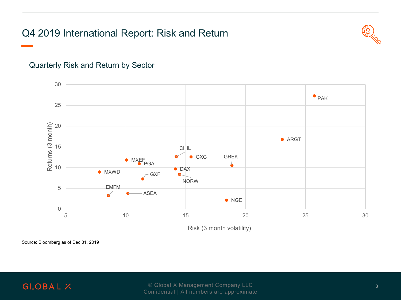# Q4 2019 International Report: Risk and Return



#### Quarterly Risk and Return by Sector



Risk (3 month volatility)

Source: Bloomberg as of Dec 31, 2019

#### **GLOBAL X**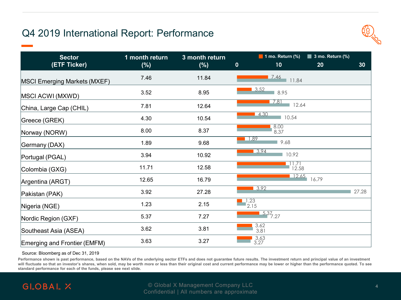# Q4 2019 International Report: Performance



| <b>Sector</b><br>(ETF Ticker)       | 1 month return<br>$(\%)$ | 3 month return<br>$(\%)$ | $\mathbf 0$ | 1 mo. Return $%$<br>10 | $\blacksquare$ 3 mo. Return (%)<br>20 | 30    |
|-------------------------------------|--------------------------|--------------------------|-------------|------------------------|---------------------------------------|-------|
| <b>MSCI Emerging Markets (MXEF)</b> | 7.46                     | 11.84                    |             | 17.46<br>11.84         |                                       |       |
| MSCI ACWI (MXWD)                    | 3.52                     | 8.95                     |             | 3.52<br>8.95           |                                       |       |
| China, Large Cap (CHIL)             | 7.81                     | 12.64                    |             | 7.81<br>12.64          |                                       |       |
| Greece (GREK)                       | 4.30                     | 10.54                    |             | 4.30<br>10.54          |                                       |       |
| Norway (NORW)                       | 8.00                     | 8.37                     |             | 8.00<br>8.37           |                                       |       |
| Germany (DAX)                       | 1.89                     | 9.68                     |             | 1.89<br>9.68           |                                       |       |
| Portugal (PGAL)                     | 3.94                     | 10.92                    |             | 3.94<br>10.92          |                                       |       |
| Colombia (GXG)                      | 11.71                    | 12.58                    |             | $\frac{1.71}{12.58}$   |                                       |       |
| Argentina (ARGT)                    | 12.65                    | 16.79                    |             | 12.65                  | 16.79                                 |       |
| Pakistan (PAK)                      | 3.92                     | 27.28                    |             | 3.92                   |                                       | 27.28 |
| Nigeria (NGE)                       | 1.23                     | 2.15                     |             | $\frac{1.23}{2.15}$    |                                       |       |
| Nordic Region (GXF)                 | 5.37                     | 7.27                     |             | $\frac{5.37}{7.27}$    |                                       |       |
| Southeast Asia (ASEA)               | 3.62                     | 3.81                     |             | 3.62<br>3.81           |                                       |       |
| Emerging and Frontier (EMFM)        | 3.63                     | 3.27                     |             | $3.63$<br>$3.27$       |                                       |       |

#### Source: Bloomberg as of Dec 31, 2019

**Performance shown is past performance, based on the NAVs of the underlying sector ETFs and does not guarantee future results. The investment return and principal value of an investment**  will fluctuate so that an investor's shares, when sold, may be worth more or less than their original cost and current performance may be lower or higher than the performance quoted. To see **standard performance for each of the funds, please see next slide.**



**Proprietary & Confidential Company LLC** *Proprietary Administration Administration Administration Administration Administration Administration Administration Administration Administration Administration Administration Ad* Confidential | All numbers are approximate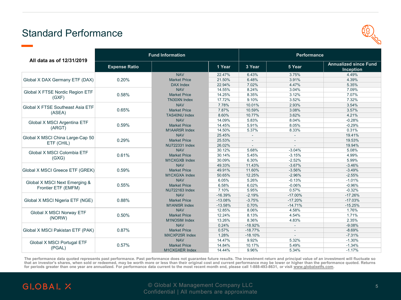# Standard Performance



| All data as of 12/31/2019         | <b>Fund Information</b> |                       |           | Performance |                |                                           |  |
|-----------------------------------|-------------------------|-----------------------|-----------|-------------|----------------|-------------------------------------------|--|
|                                   | <b>Expense Ratio</b>    |                       | 1 Year    | 3 Year      | 5 Year         | <b>Annualized since Fund</b><br>Inception |  |
|                                   |                         | <b>NAV</b>            | 22.47%    | 6.43%       | 3.75%          | 4.49%                                     |  |
| Global X DAX Germany ETF (DAX)    | 0.20%                   | <b>Market Price</b>   | 21.50%    | 6.48%       | 3.91%          | 4.39%                                     |  |
|                                   |                         | <b>DAX Index</b>      | 22.94%    | 7.02%       | 4.47%          | 5.35%                                     |  |
| Global X FTSE Nordic Region ETF   |                         | <b>NAV</b>            | 14.55%    | 8.24%       | 3.04%          | 7.09%                                     |  |
| (GXF)                             | 0.58%                   | <b>Market Price</b>   | 14.25%    | 8.35%       | 3.12%          | 7.07%                                     |  |
|                                   |                         | <b>TN30XN Index</b>   | 17.72%    | 9.10%       | 3.52%          | 7.32%                                     |  |
| Global X FTSE Southeast Asia ETF  |                         | <b>NAV</b>            | 7.78%     | 10.01%      | 2.93%          | 3.54%                                     |  |
| (ASEA)                            | 0.65%                   | <b>Market Price</b>   | 7.87%     | 10.59%      | 3.08%          | 3.57%                                     |  |
|                                   |                         | <b>TAS40NU Index</b>  | 8.60%     | 10.77%      | 3.62%          | 4.21%                                     |  |
|                                   |                         | <b>NAV</b>            | 14.09%    | 5.83%       | 8.04%          | $-0.28%$                                  |  |
| Global X MSCI Argentina ETF       | 0.59%                   | <b>Market Price</b>   | 14.45%    | 5.91%       | 8.05%          | $-0.29%$                                  |  |
| (ARGT)                            |                         | M1AAR5R Index         | 14.50%    | 5.37%       | 8.33%          | 0.31%                                     |  |
| Global X MSCI China Large-Cap 50  | 0.29%                   | <b>NAV</b>            | 25.45%    |             |                | 19.41%                                    |  |
|                                   |                         | <b>Market Price</b>   | 25.53%    |             | $\overline{a}$ | 19.53%                                    |  |
| ETF (CHIL)                        |                         | <b>NU722331 Index</b> | 26.02%    |             |                | 19.94%                                    |  |
| Global X MSCI Colombia ETF        |                         | <b>NAV</b>            | 30.12%    | 5.68%       | $-3.04%$       | 5.08%                                     |  |
|                                   | 0.61%                   | <b>Market Price</b>   | 30.14%    | 5.45%       | $-3.15%$       | 4.99%                                     |  |
| (GXG)                             |                         | M1CXGXB Index         | 30.09%    | 6.30%       | $-2.52%$       | 5.99%                                     |  |
|                                   |                         | <b>NAV</b>            | 49.33%    | 11.43%      | $-3.67%$       | $-3.46%$                                  |  |
| Global X MSCI Greece ETF (GREK)   | 0.59%                   | <b>Market Price</b>   | 49.91%    | 11.60%      | $-3.56%$       | $-3.49%$                                  |  |
|                                   |                         | M1CXGXA Index         | 50.65%    | 12.25%      | $-2.96%$       | $-2.55%$                                  |  |
|                                   |                         | <b>NAV</b>            | 6.05%     | 5.26%       | $-0.13%$       | $-1.01%$                                  |  |
| Global X MSCI Next Emerging &     | 0.55%                   | <b>Market Price</b>   | 6.58%     | 6.02%       | $-0.06%$       | $-0.96%$                                  |  |
| Frontier ETF (EMFM)               |                         | <b>NU722163 Index</b> | 7.10%     | 5.95%       | 0.57%          | $-0.32%$                                  |  |
|                                   |                         | <b>NAV</b>            | $-16.39%$ | $-2.19%$    | $-17.00%$      | $-17.26%$                                 |  |
| Global X MSCI Nigeria ETF (NGE)   | 0.88%                   | <b>Market Price</b>   | $-13.08%$ | $-3.75%$    | $-17.20%$      | $-17.03%$                                 |  |
|                                   |                         | M1ANI5R Index         | $-13.58%$ | 0.70%       | $-14.71%$      | $-15.25%$                                 |  |
|                                   |                         | <b>NAV</b>            | 12.85%    | 8.06%       | 4.58%          | 1.76%                                     |  |
| Global X MSCI Norway ETF          | 0.50%                   | <b>Market Price</b>   | 12.24%    | 8.13%       | 4.54%          | 1.71%                                     |  |
| (NORW)                            |                         | M1NO5IM Index         | 13.26%    | 8.36%       | 4.83%          | 2.35%                                     |  |
|                                   |                         | <b>NAV</b>            | 0.24%     | $-18.92%$   |                | $-9.08%$                                  |  |
| Global X MSCI Pakistan ETF (PAK)  | 0.87%                   | <b>Market Price</b>   | 0.57%     | $-18.77%$   | $\overline{a}$ | $-8.69%$                                  |  |
|                                   |                         | MXCXP25R Index        | 1.28%     | $-18.10%$   | $\sim$         | $-7.31%$                                  |  |
|                                   |                         | <b>NAV</b>            | 14.47%    | 9.92%       | 5.32%          | $-1.30%$                                  |  |
| <b>Global X MSCI Portugal ETF</b> | 0.57%                   | <b>Market Price</b>   | 14.84%    | 10.17%      | 5.49%          | $-1.34%$                                  |  |
| (PGAL)                            |                         | M1CXGXER Index        | 14.44%    | 9.96%       | 5.34%          | $-1.17%$                                  |  |

The performance data quoted represents past performance. Past performance does not quarantee future results. The investment return and principal value of an investment will fluctuate so that an investor's shares, when sold or redeemed, may be worth more or less than their original cost and current performance may be lower or higher than the performance quoted. Returns<br>for periods greater than one year are

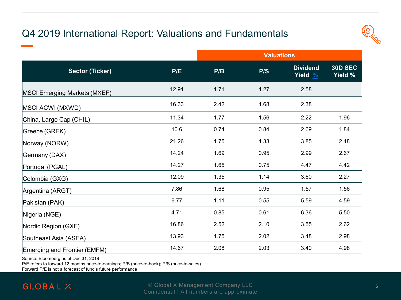# Q4 2019 International Report: Valuations and Fundamentals



|                                     |       | <b>Valuations</b> |      |                                        |                           |  |
|-------------------------------------|-------|-------------------|------|----------------------------------------|---------------------------|--|
| <b>Sector (Ticker)</b>              | P/E   | P/B               | P/S  | <b>Dividend</b><br>Yield $\frac{9}{6}$ | <b>30D SEC</b><br>Yield % |  |
| <b>MSCI Emerging Markets (MXEF)</b> | 12.91 | 1.71              | 1.27 | 2.58                                   |                           |  |
| MSCI ACWI (MXWD)                    | 16.33 | 2.42              | 1.68 | 2.38                                   |                           |  |
| China, Large Cap (CHIL)             | 11.34 | 1.77              | 1.56 | 2.22                                   | 1.96                      |  |
| Greece (GREK)                       | 10.6  | 0.74              | 0.84 | 2.69                                   | 1.84                      |  |
| Norway (NORW)                       | 21.26 | 1.75              | 1.33 | 3.85                                   | 2.48                      |  |
| Germany (DAX)                       | 14.24 | 1.69              | 0.95 | 2.99                                   | 2.67                      |  |
| Portugal (PGAL)                     | 14.27 | 1.65              | 0.75 | 4.47                                   | 4.42                      |  |
| Colombia (GXG)                      | 12.09 | 1.35              | 1.14 | 3.60                                   | 2.27                      |  |
| Argentina (ARGT)                    | 7.86  | 1.68              | 0.95 | 1.57                                   | 1.56                      |  |
| Pakistan (PAK)                      | 6.77  | 1.11              | 0.55 | 5.59                                   | 4.59                      |  |
| Nigeria (NGE)                       | 4.71  | 0.85              | 0.61 | 6.36                                   | 5.50                      |  |
| Nordic Region (GXF)                 | 16.86 | 2.52              | 2.10 | 3.55                                   | 2.62                      |  |
| Southeast Asia (ASEA)               | 13.93 | 1.75              | 2.02 | 3.48                                   | 2.98                      |  |
| Emerging and Frontier (EMFM)        | 14.67 | 2.08              | 2.03 | 3.40                                   | 4.98                      |  |

Source: Bloomberg as of Dec 31, 2019

P/E refers to forward 12 months price-to-earnings; P/B (price-to-book); P/S (price-to-sales)

Forward P/E is not a forecast of fund's future performance

## **GLOBAL X**

**Proprietary & Confidential Company LLC** *Confidential Company LLC* **66 and 50 and 66 and 66 and 66 and 66 and 66 and 66 and 66 and 66 and 66 and 66 and 66 and 66 and 66 and 66 and 66 and 66 and 66 and 66 and 66 and 66 and** Confidential | All numbers are approximate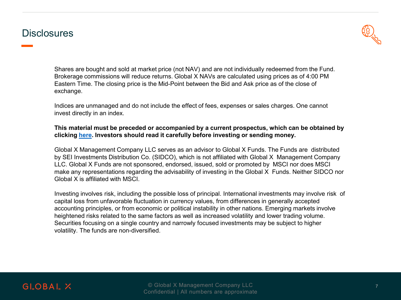## **Disclosures**



Shares are bought and sold at market price (not NAV) and are not individually redeemed from the Fund. Brokerage commissions will reduce returns. Global X NAVs are calculated using prices as of 4:00 PM Eastern Time. The closing price is the Mid-Point between the Bid and Ask price as of the close of exchange.

Indices are unmanaged and do not include the effect of fees, expenses or sales charges. One cannot invest directly in an index.

#### **This material must be preceded or accompanied by a current prospectus, which can be obtained by clicking [here.](https://www.globalxetfs.com/prospectus-regulatory/?id=62) Investors should read it carefully before investing or sending money.**

Global X Management Company LLC serves as an advisor to Global X Funds. The Funds are distributed by SEI Investments Distribution Co. (SIDCO), which is not affiliated with Global X Management Company LLC. Global X Funds are not sponsored, endorsed, issued, sold or promoted by MSCI nor does MSCI make any representations regarding the advisability of investing in the Global X Funds. Neither SIDCO nor Global X is affiliated with MSCI.

Investing involves risk, including the possible loss of principal. International investments may involve risk of capital loss from unfavorable fluctuation in currency values, from differences in generally accepted accounting principles, or from economic or political instability in other nations. Emerging markets involve heightened risks related to the same factors as well as increased volatility and lower trading volume. Securities focusing on a single country and narrowly focused investments may be subject to higher volatility. The funds are non-diversified.

## **GLOBAL X**